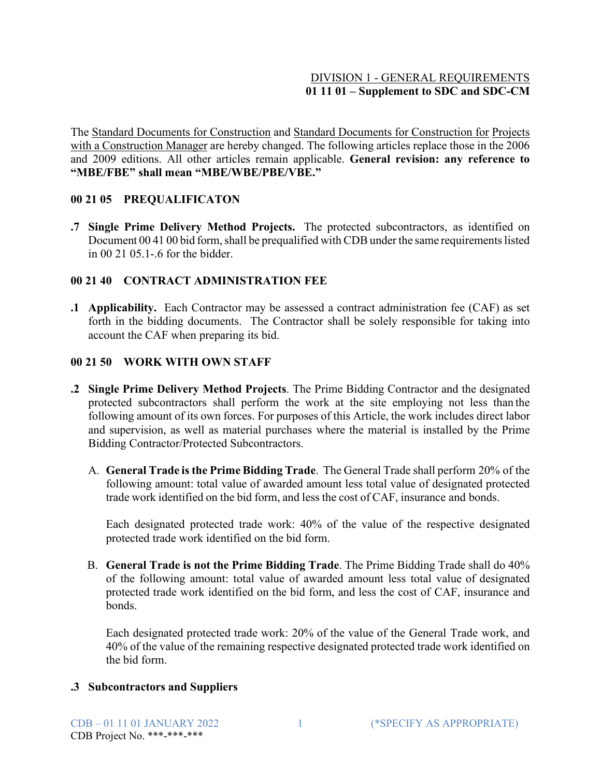### DIVISION 1 - GENERAL REQUIREMENTS **01 11 01 – Supplement to SDC and SDC-CM**

The Standard Documents for Construction and Standard Documents for Construction for Projects with a Construction Manager are hereby changed. The following articles replace those in the 2006 and 2009 editions. All other articles remain applicable. **General revision: any reference to "MBE/FBE" shall mean "MBE/WBE/PBE/VBE."**

#### **00 21 05 PREQUALIFICATON**

**.7 Single Prime Delivery Method Projects.** The protected subcontractors, as identified on Document 00 41 00 bid form, shall be prequalified with CDB under the same requirements listed in 00 21 05.1-.6 for the bidder.

### **00 21 40 CONTRACT ADMINISTRATION FEE**

**.1 Applicability.** Each Contractor may be assessed a contract administration fee (CAF) as set forth in the bidding documents. The Contractor shall be solely responsible for taking into account the CAF when preparing its bid.

### **00 21 50 WORK WITH OWN STAFF**

- **.2 Single Prime Delivery Method Projects**. The Prime Bidding Contractor and the designated protected subcontractors shall perform the work at the site employing not less than the following amount of its own forces. For purposes of this Article, the work includes direct labor and supervision, as well as material purchases where the material is installed by the Prime Bidding Contractor/Protected Subcontractors.
	- A. **General Trade is the Prime Bidding Trade**. The General Trade shall perform 20% of the following amount: total value of awarded amount less total value of designated protected trade work identified on the bid form, and less the cost of CAF, insurance and bonds.

Each designated protected trade work: 40% of the value of the respective designated protected trade work identified on the bid form.

B. **General Trade is not the Prime Bidding Trade**. The Prime Bidding Trade shall do 40% of the following amount: total value of awarded amount less total value of designated protected trade work identified on the bid form, and less the cost of CAF, insurance and bonds.

Each designated protected trade work: 20% of the value of the General Trade work, and 40% of the value of the remaining respective designated protected trade work identified on the bid form.

#### **.3 Subcontractors and Suppliers**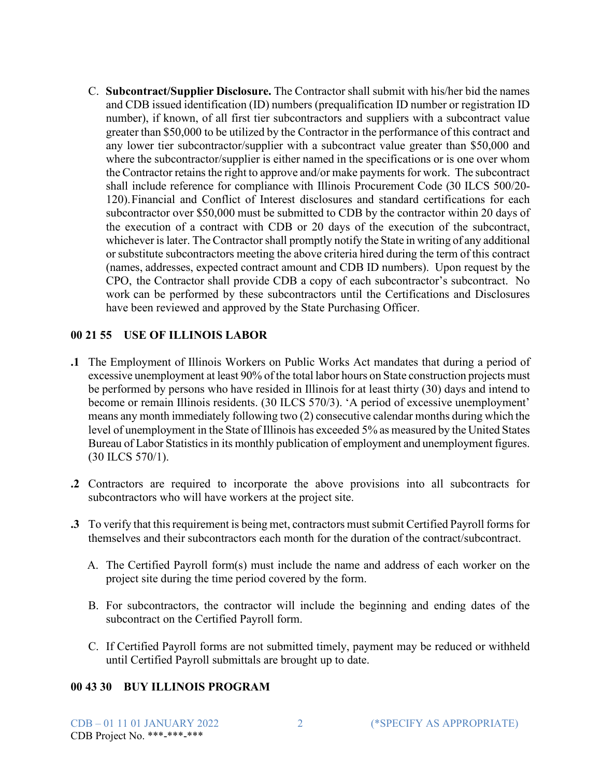C. **Subcontract/Supplier Disclosure.** The Contractor shall submit with his/her bid the names and CDB issued identification (ID) numbers (prequalification ID number or registration ID number), if known, of all first tier subcontractors and suppliers with a subcontract value greater than \$50,000 to be utilized by the Contractor in the performance of this contract and any lower tier subcontractor/supplier with a subcontract value greater than \$50,000 and where the subcontractor/supplier is either named in the specifications or is one over whom the Contractor retains the right to approve and/or make payments for work. The subcontract shall include reference for compliance with Illinois Procurement Code (30 ILCS 500/20- 120).Financial and Conflict of Interest disclosures and standard certifications for each subcontractor over \$50,000 must be submitted to CDB by the contractor within 20 days of the execution of a contract with CDB or 20 days of the execution of the subcontract, whichever is later. The Contractor shall promptly notify the State in writing of any additional or substitute subcontractors meeting the above criteria hired during the term of this contract (names, addresses, expected contract amount and CDB ID numbers). Upon request by the CPO, the Contractor shall provide CDB a copy of each subcontractor's subcontract. No work can be performed by these subcontractors until the Certifications and Disclosures have been reviewed and approved by the State Purchasing Officer.

### **00 21 55 USE OF ILLINOIS LABOR**

- **.1** The Employment of Illinois Workers on Public Works Act mandates that during a period of excessive unemployment at least 90% of the total labor hours on State construction projects must be performed by persons who have resided in Illinois for at least thirty (30) days and intend to become or remain Illinois residents. (30 ILCS 570/3). 'A period of excessive unemployment' means any month immediately following two (2) consecutive calendar months during which the level of unemployment in the State of Illinois has exceeded 5% as measured by the United States Bureau of Labor Statistics in its monthly publication of employment and unemployment figures. (30 ILCS 570/1).
- **.2** Contractors are required to incorporate the above provisions into all subcontracts for subcontractors who will have workers at the project site.
- **.3** To verify that this requirement is being met, contractors must submit Certified Payroll forms for themselves and their subcontractors each month for the duration of the contract/subcontract.
	- A. The Certified Payroll form(s) must include the name and address of each worker on the project site during the time period covered by the form.
	- B. For subcontractors, the contractor will include the beginning and ending dates of the subcontract on the Certified Payroll form.
	- C. If Certified Payroll forms are not submitted timely, payment may be reduced or withheld until Certified Payroll submittals are brought up to date.

#### **00 43 30 BUY ILLINOIS PROGRAM**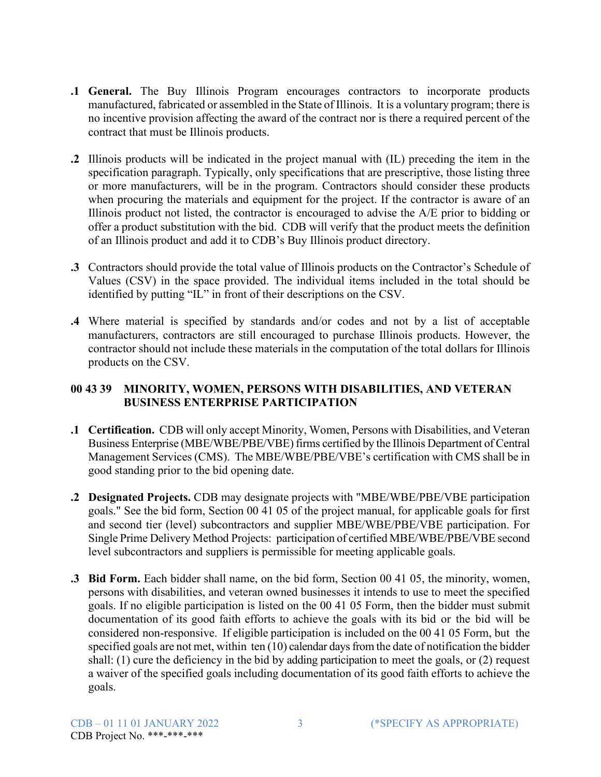- **.1 General.** The Buy Illinois Program encourages contractors to incorporate products manufactured, fabricated or assembled in the State of Illinois. It is a voluntary program; there is no incentive provision affecting the award of the contract nor is there a required percent of the contract that must be Illinois products.
- **.2** Illinois products will be indicated in the project manual with (IL) preceding the item in the specification paragraph. Typically, only specifications that are prescriptive, those listing three or more manufacturers, will be in the program. Contractors should consider these products when procuring the materials and equipment for the project. If the contractor is aware of an Illinois product not listed, the contractor is encouraged to advise the A/E prior to bidding or offer a product substitution with the bid. CDB will verify that the product meets the definition of an Illinois product and add it to CDB's Buy Illinois product directory.
- **.3** Contractors should provide the total value of Illinois products on the Contractor's Schedule of Values (CSV) in the space provided. The individual items included in the total should be identified by putting "IL" in front of their descriptions on the CSV.
- **.4** Where material is specified by standards and/or codes and not by a list of acceptable manufacturers, contractors are still encouraged to purchase Illinois products. However, the contractor should not include these materials in the computation of the total dollars for Illinois products on the CSV.

## **00 43 39 MINORITY, WOMEN, PERSONS WITH DISABILITIES, AND VETERAN BUSINESS ENTERPRISE PARTICIPATION**

- **.1 Certification.** CDB will only accept Minority, Women, Persons with Disabilities, and Veteran Business Enterprise (MBE/WBE/PBE/VBE) firms certified by the Illinois Department of Central Management Services (CMS). The MBE/WBE/PBE/VBE's certification with CMS shall be in good standing prior to the bid opening date.
- **.2 Designated Projects.** CDB may designate projects with "MBE/WBE/PBE/VBE participation goals." See the bid form, Section 00 41 05 of the project manual, for applicable goals for first and second tier (level) subcontractors and supplier MBE/WBE/PBE/VBE participation. For Single Prime Delivery Method Projects: participation of certified MBE/WBE/PBE/VBE second level subcontractors and suppliers is permissible for meeting applicable goals.
- **.3 Bid Form.** Each bidder shall name, on the bid form, Section 00 41 05, the minority, women, persons with disabilities, and veteran owned businesses it intends to use to meet the specified goals. If no eligible participation is listed on the 00 41 05 Form, then the bidder must submit documentation of its good faith efforts to achieve the goals with its bid or the bid will be considered non-responsive. If eligible participation is included on the 00 41 05 Form, but the specified goals are not met, within ten (10) calendar days from the date of notification the bidder shall: (1) cure the deficiency in the bid by adding participation to meet the goals, or (2) request a waiver of the specified goals including documentation of its good faith efforts to achieve the goals.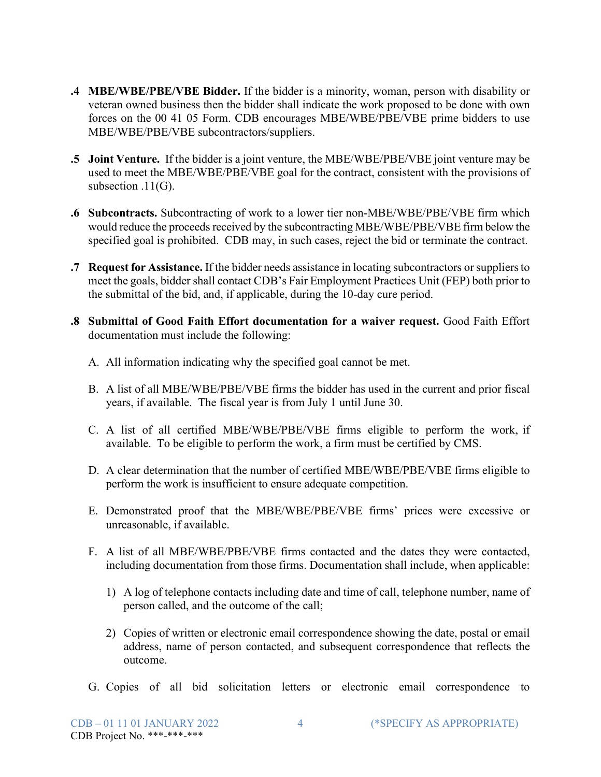- **.4 MBE/WBE/PBE/VBE Bidder.** If the bidder is a minority, woman, person with disability or veteran owned business then the bidder shall indicate the work proposed to be done with own forces on the 00 41 05 Form. CDB encourages MBE/WBE/PBE/VBE prime bidders to use MBE/WBE/PBE/VBE subcontractors/suppliers.
- **.5 Joint Venture.** If the bidder is a joint venture, the MBE/WBE/PBE/VBE joint venture may be used to meet the MBE/WBE/PBE/VBE goal for the contract, consistent with the provisions of subsection .11(G).
- **.6 Subcontracts.** Subcontracting of work to a lower tier non-MBE/WBE/PBE/VBE firm which would reduce the proceeds received by the subcontracting MBE/WBE/PBE/VBE firm below the specified goal is prohibited. CDB may, in such cases, reject the bid or terminate the contract.
- **.7 Request for Assistance.** If the bidder needs assistance in locating subcontractors orsuppliersto meet the goals, bidder shall contact CDB's Fair Employment Practices Unit (FEP) both prior to the submittal of the bid, and, if applicable, during the 10-day cure period.
- **.8 Submittal of Good Faith Effort documentation for a waiver request.** Good Faith Effort documentation must include the following:
	- A. All information indicating why the specified goal cannot be met.
	- B. A list of all MBE/WBE/PBE/VBE firms the bidder has used in the current and prior fiscal years, if available. The fiscal year is from July 1 until June 30.
	- C. A list of all certified MBE/WBE/PBE/VBE firms eligible to perform the work, if available. To be eligible to perform the work, a firm must be certified by CMS.
	- D. A clear determination that the number of certified MBE/WBE/PBE/VBE firms eligible to perform the work is insufficient to ensure adequate competition.
	- E. Demonstrated proof that the MBE/WBE/PBE/VBE firms' prices were excessive or unreasonable, if available.
	- F. A list of all MBE/WBE/PBE/VBE firms contacted and the dates they were contacted, including documentation from those firms. Documentation shall include, when applicable:
		- 1) A log of telephone contacts including date and time of call, telephone number, name of person called, and the outcome of the call;
		- 2) Copies of written or electronic email correspondence showing the date, postal or email address, name of person contacted, and subsequent correspondence that reflects the outcome.
	- G. Copies of all bid solicitation letters or electronic email correspondence to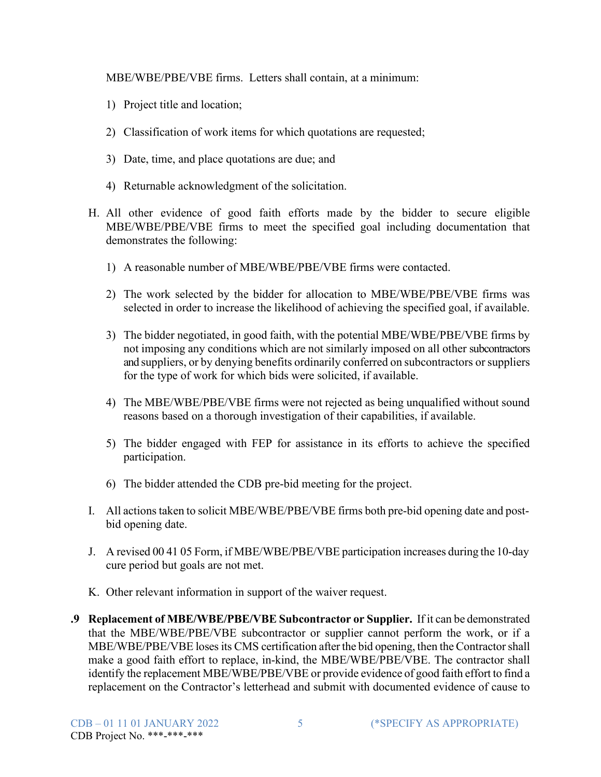MBE/WBE/PBE/VBE firms. Letters shall contain, at a minimum:

- 1) Project title and location;
- 2) Classification of work items for which quotations are requested;
- 3) Date, time, and place quotations are due; and
- 4) Returnable acknowledgment of the solicitation.
- H. All other evidence of good faith efforts made by the bidder to secure eligible MBE/WBE/PBE/VBE firms to meet the specified goal including documentation that demonstrates the following:
	- 1) A reasonable number of MBE/WBE/PBE/VBE firms were contacted.
	- 2) The work selected by the bidder for allocation to MBE/WBE/PBE/VBE firms was selected in order to increase the likelihood of achieving the specified goal, if available.
	- 3) The bidder negotiated, in good faith, with the potential MBE/WBE/PBE/VBE firms by not imposing any conditions which are not similarly imposed on all other subcontractors and suppliers, or by denying benefits ordinarily conferred on subcontractors orsuppliers for the type of work for which bids were solicited, if available.
	- 4) The MBE/WBE/PBE/VBE firms were not rejected as being unqualified without sound reasons based on a thorough investigation of their capabilities, if available.
	- 5) The bidder engaged with FEP for assistance in its efforts to achieve the specified participation.
	- 6) The bidder attended the CDB pre-bid meeting for the project.
- I. All actions taken to solicit MBE/WBE/PBE/VBE firms both pre-bid opening date and postbid opening date.
- J. A revised 00 41 05 Form, if MBE/WBE/PBE/VBE participation increases during the 10-day cure period but goals are not met.
- K. Other relevant information in support of the waiver request.
- **.9 Replacement of MBE/WBE/PBE/VBE Subcontractor or Supplier.** If it can be demonstrated that the MBE/WBE/PBE/VBE subcontractor or supplier cannot perform the work, or if a MBE/WBE/PBE/VBE loses its CMS certification after the bid opening, then the Contractor shall make a good faith effort to replace, in-kind, the MBE/WBE/PBE/VBE. The contractor shall identify the replacement MBE/WBE/PBE/VBE or provide evidence of good faith effort to find a replacement on the Contractor's letterhead and submit with documented evidence of cause to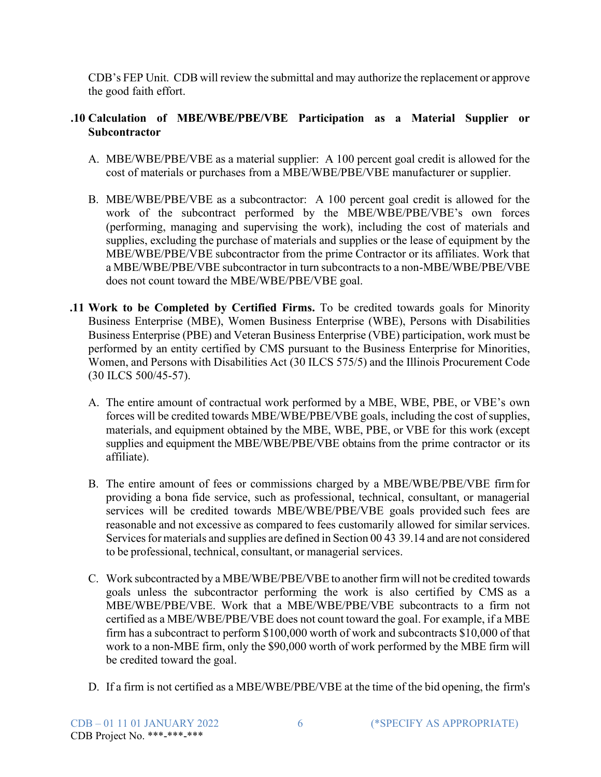CDB's FEP Unit. CDB will review the submittal and may authorize the replacement or approve the good faith effort.

## **.10 Calculation of MBE/WBE/PBE/VBE Participation as a Material Supplier or Subcontractor**

- A. MBE/WBE/PBE/VBE as a material supplier: A 100 percent goal credit is allowed for the cost of materials or purchases from a MBE/WBE/PBE/VBE manufacturer or supplier.
- B. MBE/WBE/PBE/VBE as a subcontractor: A 100 percent goal credit is allowed for the work of the subcontract performed by the MBE/WBE/PBE/VBE's own forces (performing, managing and supervising the work), including the cost of materials and supplies, excluding the purchase of materials and supplies or the lease of equipment by the MBE/WBE/PBE/VBE subcontractor from the prime Contractor or its affiliates. Work that a MBE/WBE/PBE/VBE subcontractor in turn subcontracts to a non-MBE/WBE/PBE/VBE does not count toward the MBE/WBE/PBE/VBE goal.
- **.11 Work to be Completed by Certified Firms.** To be credited towards goals for Minority Business Enterprise (MBE), Women Business Enterprise (WBE), Persons with Disabilities Business Enterprise (PBE) and Veteran Business Enterprise (VBE) participation, work must be performed by an entity certified by CMS pursuant to the Business Enterprise for Minorities, Women, and Persons with Disabilities Act (30 ILCS 575/5) and the Illinois Procurement Code (30 ILCS 500/45-57).
	- A. The entire amount of contractual work performed by a MBE, WBE, PBE, or VBE's own forces will be credited towards MBE/WBE/PBE/VBE goals, including the cost of supplies, materials, and equipment obtained by the MBE, WBE, PBE, or VBE for this work (except supplies and equipment the MBE/WBE/PBE/VBE obtains from the prime contractor or its affiliate).
	- B. The entire amount of fees or commissions charged by a MBE/WBE/PBE/VBE firmfor providing a bona fide service, such as professional, technical, consultant, or managerial services will be credited towards MBE/WBE/PBE/VBE goals provided such fees are reasonable and not excessive as compared to fees customarily allowed for similar services. Services for materials and supplies are defined in Section 00 43 39.14 and are not considered to be professional, technical, consultant, or managerial services.
	- C. Work subcontracted by a MBE/WBE/PBE/VBE to another firm will not be credited towards goals unless the subcontractor performing the work is also certified by CMS as a MBE/WBE/PBE/VBE. Work that a MBE/WBE/PBE/VBE subcontracts to a firm not certified as a MBE/WBE/PBE/VBE does not count toward the goal. For example, if a MBE firm has a subcontract to perform \$100,000 worth of work and subcontracts \$10,000 of that work to a non-MBE firm, only the \$90,000 worth of work performed by the MBE firm will be credited toward the goal.
	- D. If a firm is not certified as a MBE/WBE/PBE/VBE at the time of the bid opening, the firm's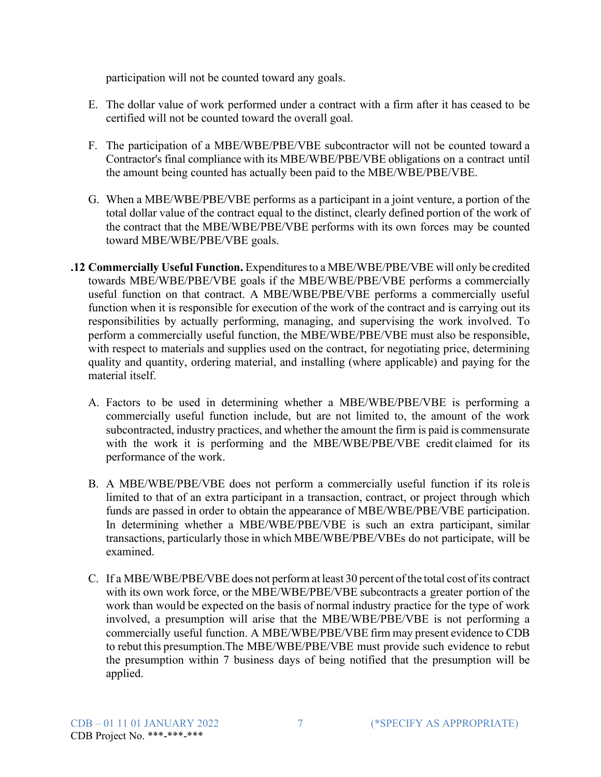participation will not be counted toward any goals.

- E. The dollar value of work performed under a contract with a firm after it has ceased to be certified will not be counted toward the overall goal.
- F. The participation of a MBE/WBE/PBE/VBE subcontractor will not be counted toward a Contractor's final compliance with its MBE/WBE/PBE/VBE obligations on a contract until the amount being counted has actually been paid to the MBE/WBE/PBE/VBE.
- G. When a MBE/WBE/PBE/VBE performs as a participant in a joint venture, a portion of the total dollar value of the contract equal to the distinct, clearly defined portion of the work of the contract that the MBE/WBE/PBE/VBE performs with its own forces may be counted toward MBE/WBE/PBE/VBE goals.
- **.12 Commercially Useful Function.** Expendituresto a MBE/WBE/PBE/VBE will only be credited towards MBE/WBE/PBE/VBE goals if the MBE/WBE/PBE/VBE performs a commercially useful function on that contract. A MBE/WBE/PBE/VBE performs a commercially useful function when it is responsible for execution of the work of the contract and is carrying out its responsibilities by actually performing, managing, and supervising the work involved. To perform a commercially useful function, the MBE/WBE/PBE/VBE must also be responsible, with respect to materials and supplies used on the contract, for negotiating price, determining quality and quantity, ordering material, and installing (where applicable) and paying for the material itself.
	- A. Factors to be used in determining whether a MBE/WBE/PBE/VBE is performing a commercially useful function include, but are not limited to, the amount of the work subcontracted, industry practices, and whether the amount the firm is paid is commensurate with the work it is performing and the MBE/WBE/PBE/VBE credit claimed for its performance of the work.
	- B. A MBE/WBE/PBE/VBE does not perform a commercially useful function if its role is limited to that of an extra participant in a transaction, contract, or project through which funds are passed in order to obtain the appearance of MBE/WBE/PBE/VBE participation. In determining whether a MBE/WBE/PBE/VBE is such an extra participant, similar transactions, particularly those in which MBE/WBE/PBE/VBEs do not participate, will be examined.
	- C. If a MBE/WBE/PBE/VBE does not perform at least 30 percent ofthe total cost ofits contract with its own work force, or the MBE/WBE/PBE/VBE subcontracts a greater portion of the work than would be expected on the basis of normal industry practice for the type of work involved, a presumption will arise that the MBE/WBE/PBE/VBE is not performing a commercially useful function. A MBE/WBE/PBE/VBE firm may present evidence to CDB to rebut this presumption.The MBE/WBE/PBE/VBE must provide such evidence to rebut the presumption within 7 business days of being notified that the presumption will be applied.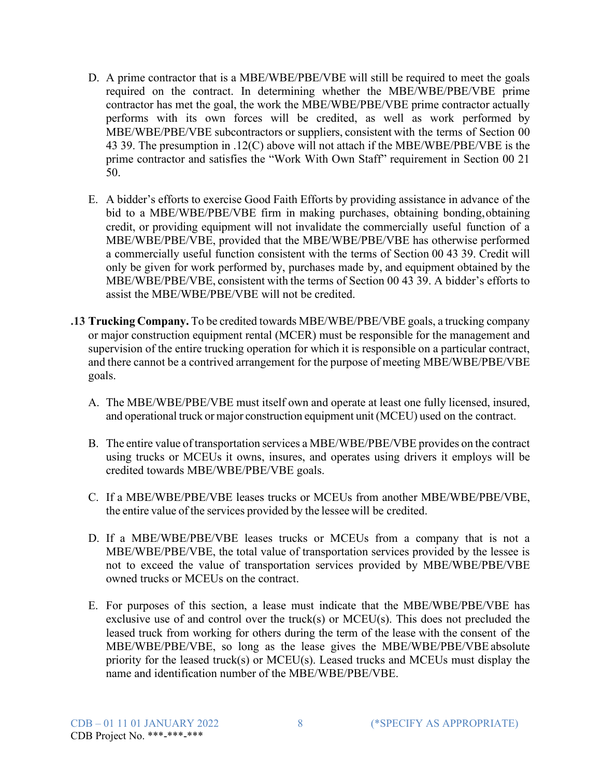- D. A prime contractor that is a MBE/WBE/PBE/VBE will still be required to meet the goals required on the contract. In determining whether the MBE/WBE/PBE/VBE prime contractor has met the goal, the work the MBE/WBE/PBE/VBE prime contractor actually performs with its own forces will be credited, as well as work performed by MBE/WBE/PBE/VBE subcontractors or suppliers, consistent with the terms of Section 00 43 39. The presumption in .12(C) above will not attach if the MBE/WBE/PBE/VBE is the prime contractor and satisfies the "Work With Own Staff" requirement in Section 00 21 50.
- E. A bidder's efforts to exercise Good Faith Efforts by providing assistance in advance of the bid to a MBE/WBE/PBE/VBE firm in making purchases, obtaining bonding,obtaining credit, or providing equipment will not invalidate the commercially useful function of a MBE/WBE/PBE/VBE, provided that the MBE/WBE/PBE/VBE has otherwise performed a commercially useful function consistent with the terms of Section 00 43 39. Credit will only be given for work performed by, purchases made by, and equipment obtained by the MBE/WBE/PBE/VBE, consistent with the terms of Section 00 43 39. A bidder's efforts to assist the MBE/WBE/PBE/VBE will not be credited.
- **.13 Trucking Company.** To be credited towards MBE/WBE/PBE/VBE goals, a trucking company or major construction equipment rental (MCER) must be responsible for the management and supervision of the entire trucking operation for which it is responsible on a particular contract, and there cannot be a contrived arrangement for the purpose of meeting MBE/WBE/PBE/VBE goals.
	- A. The MBE/WBE/PBE/VBE must itself own and operate at least one fully licensed, insured, and operational truck or major construction equipment unit (MCEU) used on the contract.
	- B. The entire value of transportation services a MBE/WBE/PBE/VBE provides on the contract using trucks or MCEUs it owns, insures, and operates using drivers it employs will be credited towards MBE/WBE/PBE/VBE goals.
	- C. If a MBE/WBE/PBE/VBE leases trucks or MCEUs from another MBE/WBE/PBE/VBE, the entire value of the services provided by the lessee will be credited.
	- D. If a MBE/WBE/PBE/VBE leases trucks or MCEUs from a company that is not a MBE/WBE/PBE/VBE, the total value of transportation services provided by the lessee is not to exceed the value of transportation services provided by MBE/WBE/PBE/VBE owned trucks or MCEUs on the contract.
	- E. For purposes of this section, a lease must indicate that the MBE/WBE/PBE/VBE has exclusive use of and control over the truck(s) or MCEU(s). This does not precluded the leased truck from working for others during the term of the lease with the consent of the MBE/WBE/PBE/VBE, so long as the lease gives the MBE/WBE/PBE/VBE absolute priority for the leased truck(s) or MCEU(s). Leased trucks and MCEUs must display the name and identification number of the MBE/WBE/PBE/VBE.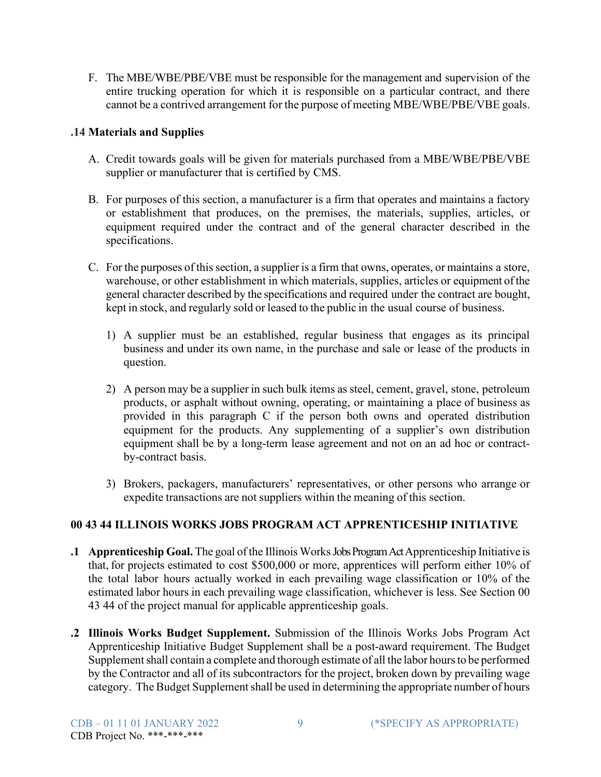F. The MBE/WBE/PBE/VBE must be responsible for the management and supervision of the entire trucking operation for which it is responsible on a particular contract, and there cannot be a contrived arrangement for the purpose of meeting MBE/WBE/PBE/VBE goals.

## **.14 Materials and Supplies**

- A. Credit towards goals will be given for materials purchased from a MBE/WBE/PBE/VBE supplier or manufacturer that is certified by CMS.
- B. For purposes of this section, a manufacturer is a firm that operates and maintains a factory or establishment that produces, on the premises, the materials, supplies, articles, or equipment required under the contract and of the general character described in the specifications.
- C. For the purposes of this section, a supplier is a firm that owns, operates, or maintains a store, warehouse, or other establishment in which materials, supplies, articles or equipment ofthe general character described by the specifications and required under the contract are bought, kept in stock, and regularly sold or leased to the public in the usual course of business.
	- 1) A supplier must be an established, regular business that engages as its principal business and under its own name, in the purchase and sale or lease of the products in question.
	- 2) A person may be a supplier in such bulk items as steel, cement, gravel, stone, petroleum products, or asphalt without owning, operating, or maintaining a place of business as provided in this paragraph C if the person both owns and operated distribution equipment for the products. Any supplementing of a supplier's own distribution equipment shall be by a long-term lease agreement and not on an ad hoc or contractby-contract basis.
	- 3) Brokers, packagers, manufacturers' representatives, or other persons who arrange or expedite transactions are not suppliers within the meaning of this section.

# **00 43 44 ILLINOIS WORKS JOBS PROGRAM ACT APPRENTICESHIP INITIATIVE**

- **.1 Apprenticeship Goal.** The goal of the Illinois WorksJobs Program Act Apprenticeship Initiative is that, for projects estimated to cost \$500,000 or more, apprentices will perform either 10% of the total labor hours actually worked in each prevailing wage classification or 10% of the estimated labor hours in each prevailing wage classification, whichever is less. See Section 00 43 44 of the project manual for applicable apprenticeship goals.
- **.2 Illinois Works Budget Supplement.** Submission of the Illinois Works Jobs Program Act Apprenticeship Initiative Budget Supplement shall be a post-award requirement. The Budget Supplement shall contain a complete and thorough estimate of all the labor hours to be performed by the Contractor and all of its subcontractors for the project, broken down by prevailing wage category. The Budget Supplement shall be used in determining the appropriate number of hours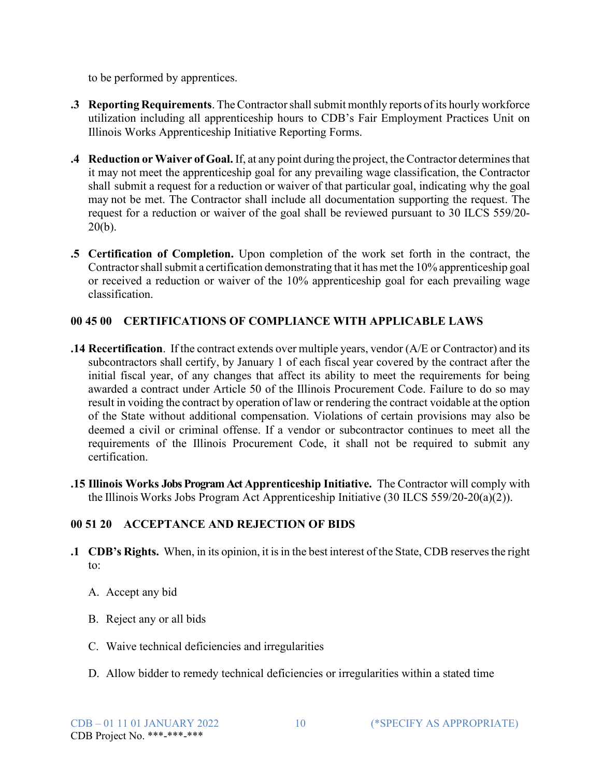to be performed by apprentices.

- **.3 Reporting Requirements**. The Contractor shall submit monthly reports of its hourly workforce utilization including all apprenticeship hours to CDB's Fair Employment Practices Unit on Illinois Works Apprenticeship Initiative Reporting Forms.
- **.4 Reduction** or Waiver of Goal. If, at any point during the project, the Contractor determines that it may not meet the apprenticeship goal for any prevailing wage classification, the Contractor shall submit a request for a reduction or waiver of that particular goal, indicating why the goal may not be met. The Contractor shall include all documentation supporting the request. The request for a reduction or waiver of the goal shall be reviewed pursuant to 30 ILCS 559/20-  $20(b)$ .
- **.5 Certification of Completion.** Upon completion of the work set forth in the contract, the Contractor shall submit a certification demonstrating that it has met the 10% apprenticeship goal or received a reduction or waiver of the 10% apprenticeship goal for each prevailing wage classification.

## **00 45 00 CERTIFICATIONS OF COMPLIANCE WITH APPLICABLE LAWS**

- **.14 Recertification**. If the contract extends over multiple years, vendor (A/E or Contractor) and its subcontractors shall certify, by January 1 of each fiscal year covered by the contract after the initial fiscal year, of any changes that affect its ability to meet the requirements for being awarded a contract under Article 50 of the Illinois Procurement Code. Failure to do so may result in voiding the contract by operation of law or rendering the contract voidable at the option of the State without additional compensation. Violations of certain provisions may also be deemed a civil or criminal offense. If a vendor or subcontractor continues to meet all the requirements of the Illinois Procurement Code, it shall not be required to submit any certification.
- **.15 Illinois Works Jobs Program Act Apprenticeship Initiative.** The Contractor will comply with the Illinois Works Jobs Program Act Apprenticeship Initiative (30 ILCS 559/20-20(a)(2)).

# **00 51 20 ACCEPTANCE AND REJECTION OF BIDS**

- **.1 CDB's Rights.** When, in its opinion, it isin the best interest of the State, CDB reservesthe right to:
	- A. Accept any bid
	- B. Reject any or all bids
	- C. Waive technical deficiencies and irregularities
	- D. Allow bidder to remedy technical deficiencies or irregularities within a stated time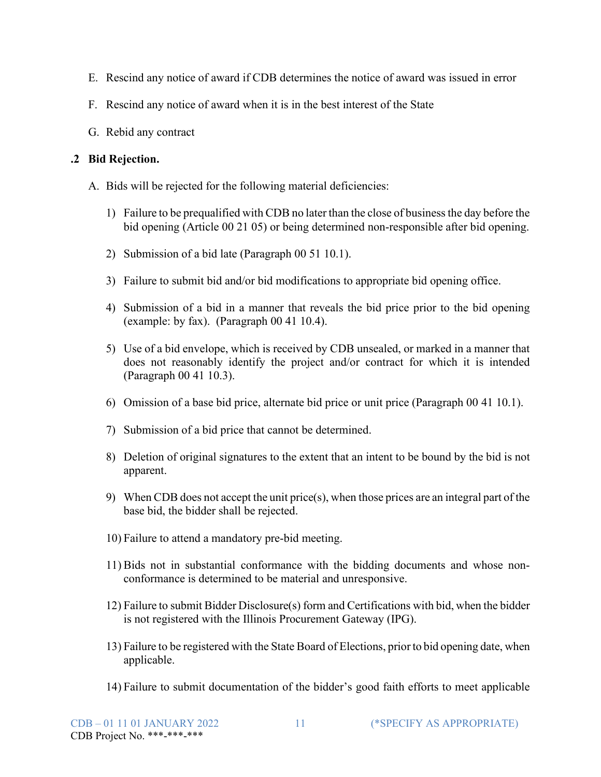- E. Rescind any notice of award if CDB determines the notice of award was issued in error
- F. Rescind any notice of award when it is in the best interest of the State
- G. Rebid any contract

## **.2 Bid Rejection.**

- A. Bids will be rejected for the following material deficiencies:
	- 1) Failure to be prequalified with CDB no later than the close of businessthe day before the bid opening (Article 00 21 05) or being determined non-responsible after bid opening.
	- 2) Submission of a bid late (Paragraph 00 51 10.1).
	- 3) Failure to submit bid and/or bid modifications to appropriate bid opening office.
	- 4) Submission of a bid in a manner that reveals the bid price prior to the bid opening (example: by fax). (Paragraph 00 41 10.4).
	- 5) Use of a bid envelope, which is received by CDB unsealed, or marked in a manner that does not reasonably identify the project and/or contract for which it is intended (Paragraph 00 41 10.3).
	- 6) Omission of a base bid price, alternate bid price or unit price (Paragraph 00 41 10.1).
	- 7) Submission of a bid price that cannot be determined.
	- 8) Deletion of original signatures to the extent that an intent to be bound by the bid is not apparent.
	- 9) When CDB does not accept the unit price(s), when those prices are an integral part of the base bid, the bidder shall be rejected.
	- 10) Failure to attend a mandatory pre-bid meeting.
	- 11) Bids not in substantial conformance with the bidding documents and whose nonconformance is determined to be material and unresponsive.
	- 12) Failure to submit Bidder Disclosure(s) form and Certifications with bid, when the bidder is not registered with the Illinois Procurement Gateway (IPG).
	- 13) Failure to be registered with the State Board of Elections, prior to bid opening date, when applicable.
	- 14) Failure to submit documentation of the bidder's good faith efforts to meet applicable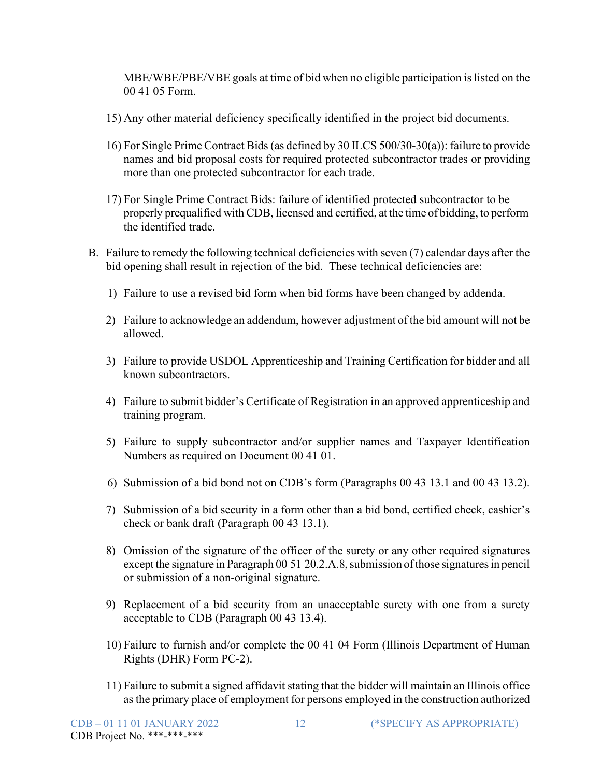MBE/WBE/PBE/VBE goals at time of bid when no eligible participation is listed on the 00 41 05 Form.

- 15) Any other material deficiency specifically identified in the project bid documents.
- 16) For Single Prime Contract Bids (as defined by 30 ILCS 500/30-30(a)): failure to provide names and bid proposal costs for required protected subcontractor trades or providing more than one protected subcontractor for each trade.
- 17) For Single Prime Contract Bids: failure of identified protected subcontractor to be properly prequalified with CDB, licensed and certified, at the time of bidding, to perform the identified trade.
- B. Failure to remedy the following technical deficiencies with seven (7) calendar days after the bid opening shall result in rejection of the bid. These technical deficiencies are:
	- 1) Failure to use a revised bid form when bid forms have been changed by addenda.
	- 2) Failure to acknowledge an addendum, however adjustment of the bid amount will not be allowed.
	- 3) Failure to provide USDOL Apprenticeship and Training Certification for bidder and all known subcontractors.
	- 4) Failure to submit bidder's Certificate of Registration in an approved apprenticeship and training program.
	- 5) Failure to supply subcontractor and/or supplier names and Taxpayer Identification Numbers as required on Document 00 41 01.
	- 6) Submission of a bid bond not on CDB's form (Paragraphs 00 43 13.1 and 00 43 13.2).
	- 7) Submission of a bid security in a form other than a bid bond, certified check, cashier's check or bank draft (Paragraph 00 43 13.1).
	- 8) Omission of the signature of the officer of the surety or any other required signatures except the signature in Paragraph 00 51 20.2.A.8, submission of those signatures in pencil or submission of a non-original signature.
	- 9) Replacement of a bid security from an unacceptable surety with one from a surety acceptable to CDB (Paragraph 00 43 13.4).
	- 10) Failure to furnish and/or complete the 00 41 04 Form (Illinois Department of Human Rights (DHR) Form PC-2).
	- 11) Failure to submit a signed affidavit stating that the bidder will maintain an Illinois office asthe primary place of employment for persons employed in the construction authorized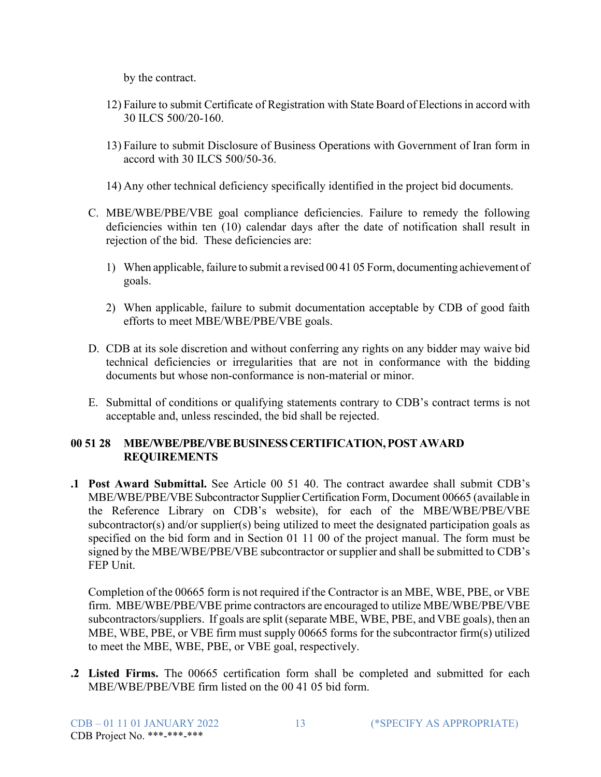by the contract.

- 12) Failure to submit Certificate of Registration with State Board of Electionsin accord with 30 ILCS 500/20-160.
- 13) Failure to submit Disclosure of Business Operations with Government of Iran form in accord with 30 ILCS 500/50-36.
- 14) Any other technical deficiency specifically identified in the project bid documents.
- C. MBE/WBE/PBE/VBE goal compliance deficiencies. Failure to remedy the following deficiencies within ten (10) calendar days after the date of notification shall result in rejection of the bid. These deficiencies are:
	- 1) When applicable, failure to submit a revised 00 41 05 Form, documenting achievement of goals.
	- 2) When applicable, failure to submit documentation acceptable by CDB of good faith efforts to meet MBE/WBE/PBE/VBE goals.
- D. CDB at its sole discretion and without conferring any rights on any bidder may waive bid technical deficiencies or irregularities that are not in conformance with the bidding documents but whose non-conformance is non-material or minor.
- E. Submittal of conditions or qualifying statements contrary to CDB's contract terms is not acceptable and, unless rescinded, the bid shall be rejected.

### **00 51 28 MBE/WBE/PBE/VBEBUSINESSCERTIFICATION,POSTAWARD REQUIREMENTS**

**.1 Post Award Submittal.** See Article 00 51 40. The contract awardee shall submit CDB's MBE/WBE/PBE/VBE Subcontractor Supplier Certification Form, Document 00665 (available in the Reference Library on CDB's website), for each of the MBE/WBE/PBE/VBE subcontractor(s) and/or supplier(s) being utilized to meet the designated participation goals as specified on the bid form and in Section 01 11 00 of the project manual. The form must be signed by the MBE/WBE/PBE/VBE subcontractor or supplier and shall be submitted to CDB's FEP Unit.

Completion of the 00665 form is not required if the Contractor is an MBE, WBE, PBE, or VBE firm. MBE/WBE/PBE/VBE prime contractors are encouraged to utilize MBE/WBE/PBE/VBE subcontractors/suppliers. If goals are split (separate MBE, WBE, PBE, and VBE goals), then an MBE, WBE, PBE, or VBE firm must supply 00665 forms for the subcontractor firm(s) utilized to meet the MBE, WBE, PBE, or VBE goal, respectively.

**.2 Listed Firms.** The 00665 certification form shall be completed and submitted for each MBE/WBE/PBE/VBE firm listed on the 00 41 05 bid form.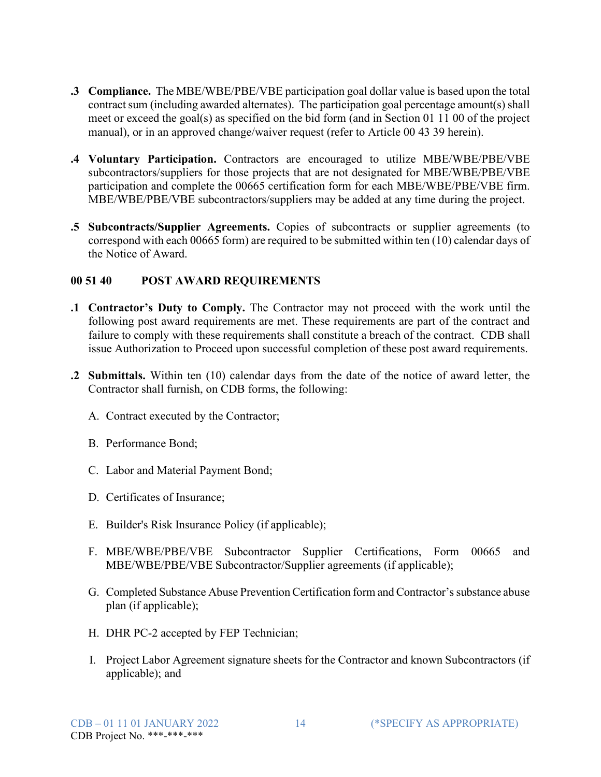- **.3 Compliance.** The MBE/WBE/PBE/VBE participation goal dollar value is based upon the total contract sum (including awarded alternates). The participation goal percentage amount(s) shall meet or exceed the goal(s) as specified on the bid form (and in Section 01 11 00 of the project manual), or in an approved change/waiver request (refer to Article 00 43 39 herein).
- **.4 Voluntary Participation.** Contractors are encouraged to utilize MBE/WBE/PBE/VBE subcontractors/suppliers for those projects that are not designated for MBE/WBE/PBE/VBE participation and complete the 00665 certification form for each MBE/WBE/PBE/VBE firm. MBE/WBE/PBE/VBE subcontractors/suppliers may be added at any time during the project.
- **.5 Subcontracts/Supplier Agreements.** Copies of subcontracts or supplier agreements (to correspond with each 00665 form) are required to be submitted within ten (10) calendar days of the Notice of Award.

### **00 51 40 POST AWARD REQUIREMENTS**

- **.1 Contractor's Duty to Comply.** The Contractor may not proceed with the work until the following post award requirements are met. These requirements are part of the contract and failure to comply with these requirements shall constitute a breach of the contract. CDB shall issue Authorization to Proceed upon successful completion of these post award requirements.
- **.2 Submittals.** Within ten (10) calendar days from the date of the notice of award letter, the Contractor shall furnish, on CDB forms, the following:
	- A. Contract executed by the Contractor;
	- B. Performance Bond;
	- C. Labor and Material Payment Bond;
	- D. Certificates of Insurance;
	- E. Builder's Risk Insurance Policy (if applicable);
	- F. MBE/WBE/PBE/VBE Subcontractor Supplier Certifications, Form 00665 and MBE/WBE/PBE/VBE Subcontractor/Supplier agreements (if applicable);
	- G. Completed Substance Abuse Prevention Certification form and Contractor'ssubstance abuse plan (if applicable);
	- H. DHR PC-2 accepted by FEP Technician;
	- I. Project Labor Agreement signature sheets for the Contractor and known Subcontractors (if applicable); and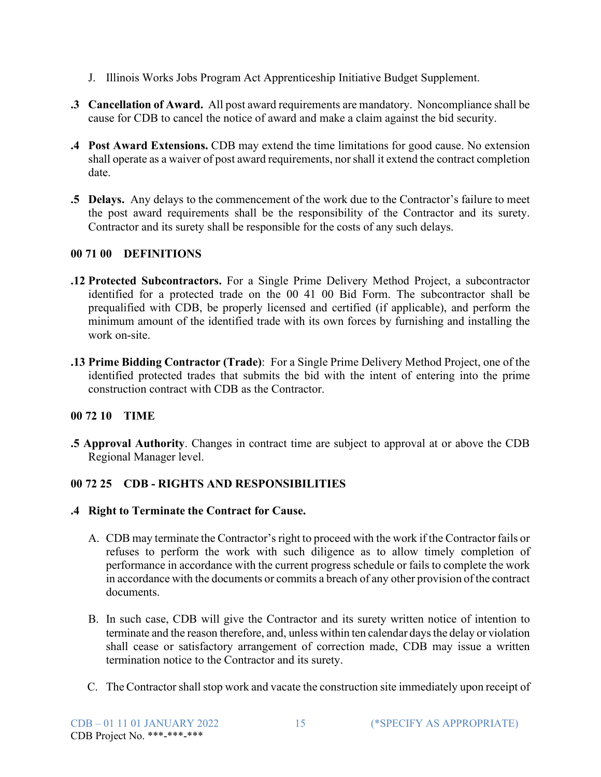- J. Illinois Works Jobs Program Act Apprenticeship Initiative Budget Supplement.
- **.3 Cancellation of Award.** All post award requirements are mandatory. Noncompliance shall be cause for CDB to cancel the notice of award and make a claim against the bid security.
- **.4 Post Award Extensions.** CDB may extend the time limitations for good cause. No extension shall operate as a waiver of post award requirements, norshall it extend the contract completion date.
- **.5 Delays.** Any delays to the commencement of the work due to the Contractor's failure to meet the post award requirements shall be the responsibility of the Contractor and its surety. Contractor and its surety shall be responsible for the costs of any such delays.

# **00 71 00 DEFINITIONS**

- **.12 Protected Subcontractors.** For a Single Prime Delivery Method Project, a subcontractor identified for a protected trade on the 00 41 00 Bid Form. The subcontractor shall be prequalified with CDB, be properly licensed and certified (if applicable), and perform the minimum amount of the identified trade with its own forces by furnishing and installing the work on-site.
- **.13 Prime Bidding Contractor (Trade)**: For a Single Prime Delivery Method Project, one of the identified protected trades that submits the bid with the intent of entering into the prime construction contract with CDB as the Contractor.

# **00 72 10 TIME**

**.5 Approval Authority**. Changes in contract time are subject to approval at or above the CDB Regional Manager level.

# **00 72 25 CDB - RIGHTS AND RESPONSIBILITIES**

### **.4 Right to Terminate the Contract for Cause.**

- A. CDB may terminate the Contractor's right to proceed with the work if the Contractor fails or refuses to perform the work with such diligence as to allow timely completion of performance in accordance with the current progress schedule or fails to complete the work in accordance with the documents or commits a breach of any other provision of the contract documents.
- B. In such case, CDB will give the Contractor and its surety written notice of intention to terminate and the reason therefore, and, unless within ten calendar daysthe delay or violation shall cease or satisfactory arrangement of correction made, CDB may issue a written termination notice to the Contractor and its surety.
- C. The Contractor shall stop work and vacate the construction site immediately upon receipt of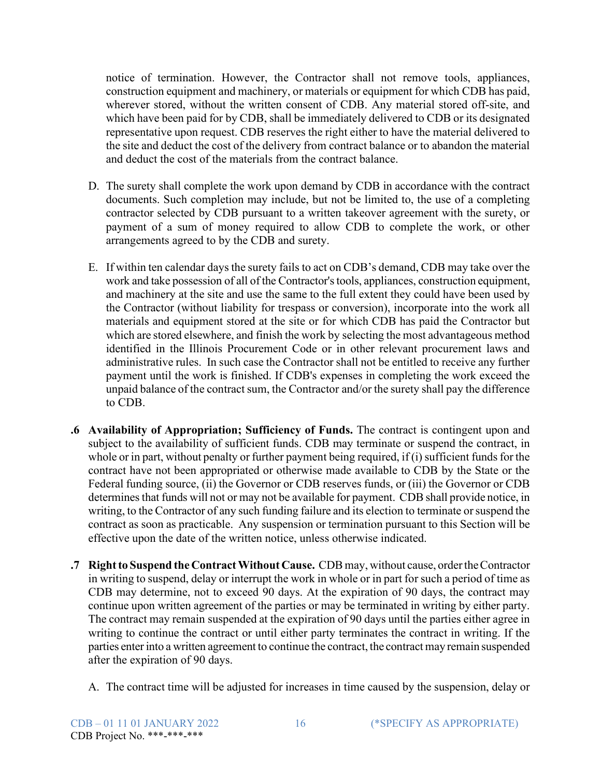notice of termination. However, the Contractor shall not remove tools, appliances, construction equipment and machinery, or materials or equipment for which CDB has paid, wherever stored, without the written consent of CDB. Any material stored off-site, and which have been paid for by CDB, shall be immediately delivered to CDB or its designated representative upon request. CDB reserves the right either to have the material delivered to the site and deduct the cost of the delivery from contract balance or to abandon the material and deduct the cost of the materials from the contract balance.

- D. The surety shall complete the work upon demand by CDB in accordance with the contract documents. Such completion may include, but not be limited to, the use of a completing contractor selected by CDB pursuant to a written takeover agreement with the surety, or payment of a sum of money required to allow CDB to complete the work, or other arrangements agreed to by the CDB and surety.
- E. If within ten calendar daysthe surety fails to act on CDB's demand, CDB may take over the work and take possession of all of the Contractor'stools, appliances, construction equipment, and machinery at the site and use the same to the full extent they could have been used by the Contractor (without liability for trespass or conversion), incorporate into the work all materials and equipment stored at the site or for which CDB has paid the Contractor but which are stored elsewhere, and finish the work by selecting the most advantageous method identified in the Illinois Procurement Code or in other relevant procurement laws and administrative rules. In such case the Contractor shall not be entitled to receive any further payment until the work is finished. If CDB's expenses in completing the work exceed the unpaid balance of the contract sum, the Contractor and/or the surety shall pay the difference to CDB.
- **.6 Availability of Appropriation; Sufficiency of Funds.** The contract is contingent upon and subject to the availability of sufficient funds. CDB may terminate or suspend the contract, in whole or in part, without penalty or further payment being required, if  $(i)$  sufficient funds for the contract have not been appropriated or otherwise made available to CDB by the State or the Federal funding source, (ii) the Governor or CDB reserves funds, or (iii) the Governor or CDB determines that funds will not or may not be available for payment. CDB shall provide notice, in writing, to the Contractor of any such funding failure and its election to terminate or suspend the contract as soon as practicable. Any suspension or termination pursuant to this Section will be effective upon the date of the written notice, unless otherwise indicated.
- **.7 Rightto Suspend the ContractWithout Cause.** CDB may, without cause, ordertheContractor in writing to suspend, delay or interrupt the work in whole or in part for such a period of time as CDB may determine, not to exceed 90 days. At the expiration of 90 days, the contract may continue upon written agreement of the parties or may be terminated in writing by either party. The contract may remain suspended at the expiration of 90 days until the parties either agree in writing to continue the contract or until either party terminates the contract in writing. If the parties enter into a written agreement to continue the contract, the contract may remain suspended after the expiration of 90 days.
	- A. The contract time will be adjusted for increases in time caused by the suspension, delay or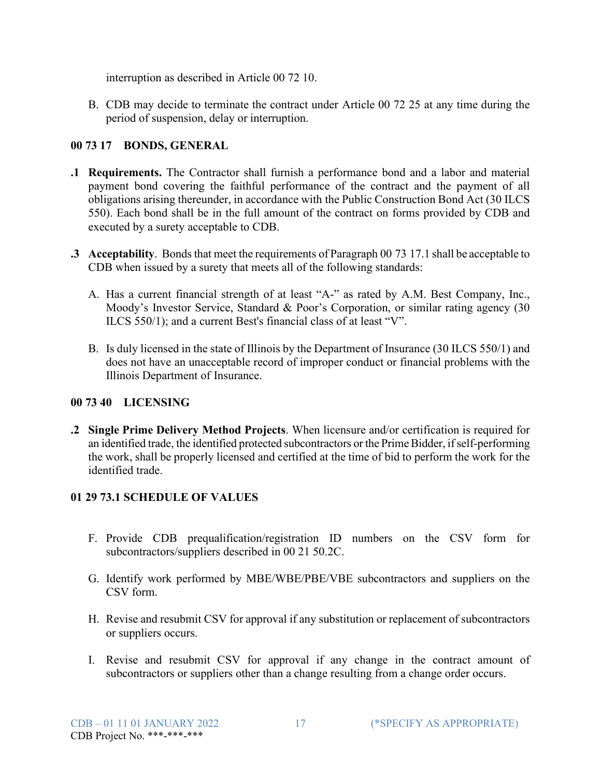interruption as described in Article 00 72 10.

B. CDB may decide to terminate the contract under Article 00 72 25 at any time during the period of suspension, delay or interruption.

## **00 73 17 BONDS, GENERAL**

- **.1 Requirements.** The Contractor shall furnish a performance bond and a labor and material payment bond covering the faithful performance of the contract and the payment of all obligations arising thereunder, in accordance with the Public Construction Bond Act (30 ILCS 550). Each bond shall be in the full amount of the contract on forms provided by CDB and executed by a surety acceptable to CDB.
- **.3** Acceptability. Bonds that meet the requirements of Paragraph 00 73 17.1 shall be acceptable to CDB when issued by a surety that meets all of the following standards:
	- A. Has a current financial strength of at least "A-" as rated by A.M. Best Company, Inc., Moody's Investor Service, Standard & Poor's Corporation, or similar rating agency (30 ILCS 550/1); and a current Best's financial class of at least "V".
	- B. Is duly licensed in the state of Illinois by the Department of Insurance (30 ILCS 550/1) and does not have an unacceptable record of improper conduct or financial problems with the Illinois Department of Insurance.

### **00 73 40 LICENSING**

**.2 Single Prime Delivery Method Projects**. When licensure and/or certification is required for an identified trade, the identified protected subcontractors or the Prime Bidder, if self-performing the work, shall be properly licensed and certified at the time of bid to perform the work for the identified trade.

# **01 29 73.1 SCHEDULE OF VALUES**

- F. Provide CDB prequalification/registration ID numbers on the CSV form for subcontractors/suppliers described in 00 21 50.2C.
- G. Identify work performed by MBE/WBE/PBE/VBE subcontractors and suppliers on the CSV form.
- H. Revise and resubmit CSV for approval if any substitution or replacement of subcontractors or suppliers occurs.
- I. Revise and resubmit CSV for approval if any change in the contract amount of subcontractors or suppliers other than a change resulting from a change order occurs.